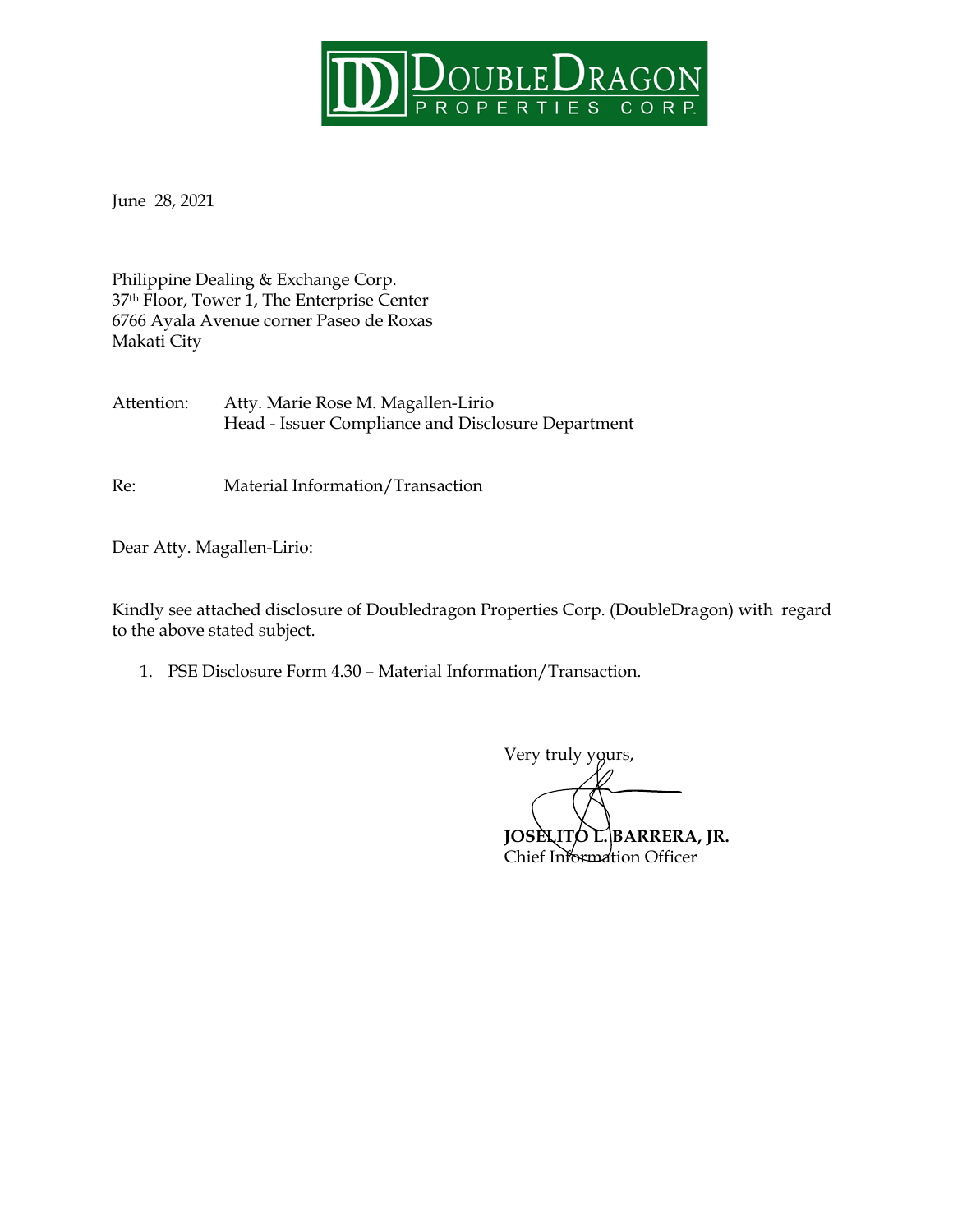

June 28, 2021

Philippine Dealing & Exchange Corp. 37th Floor, Tower 1, The Enterprise Center 6766 Ayala Avenue corner Paseo de Roxas Makati City

Attention: Atty. Marie Rose M. Magallen-Lirio Head - Issuer Compliance and Disclosure Department

Re: Material Information/Transaction

Dear Atty. Magallen-Lirio:

Kindly see attached disclosure of Doubledragon Properties Corp. (DoubleDragon) with regard to the above stated subject.

1. PSE Disclosure Form 4.30 – Material Information/Transaction.

Very truly yours,

**JOSELITO L. BARRERA, JR.** Chief Information Officer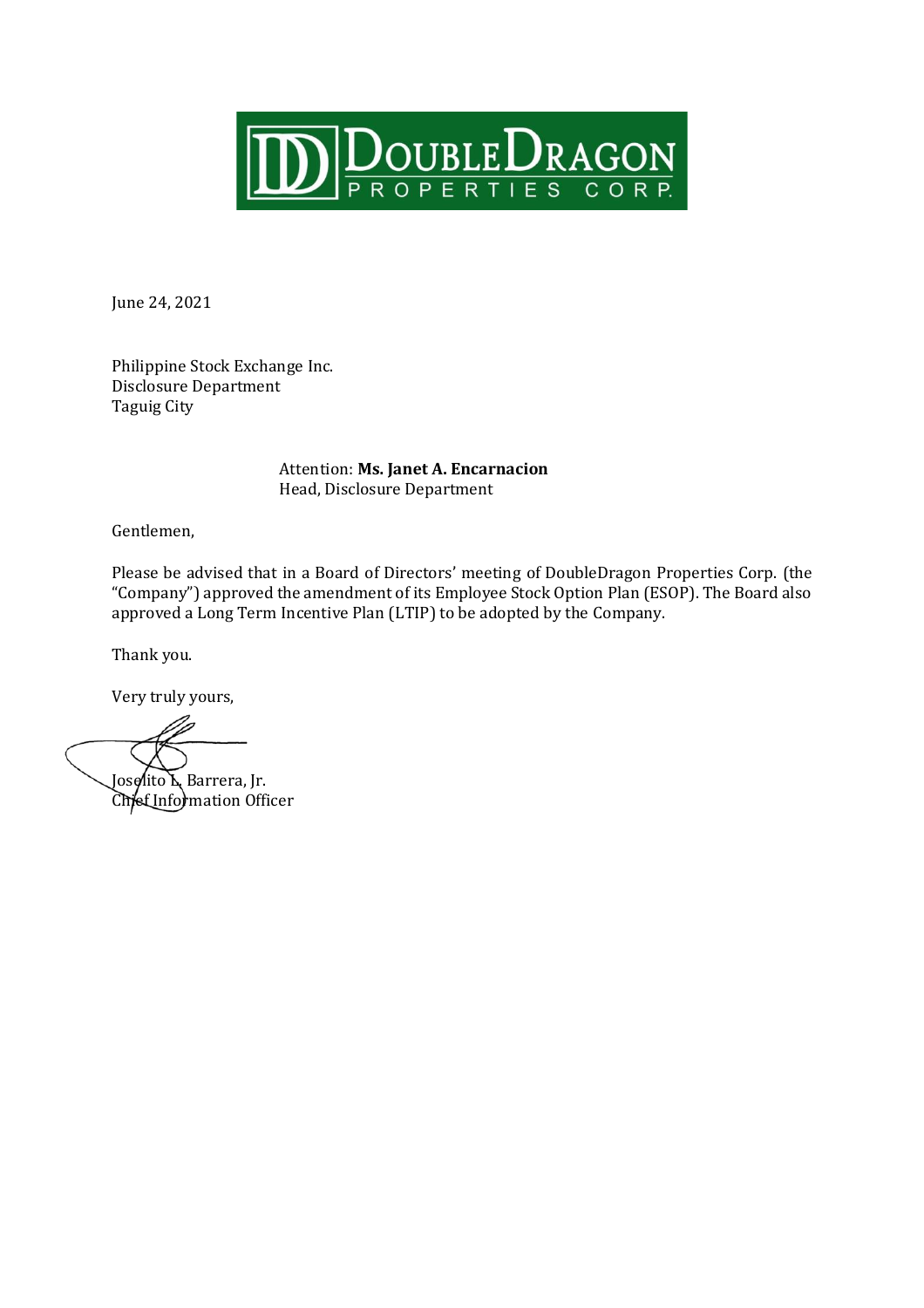

June 24, 2021

Philippine Stock Exchange Inc. Disclosure Department Taguig City

> Attention: **Ms. Janet A. Encarnacion**  Head, Disclosure Department

Gentlemen,

Please be advised that in a Board of Directors' meeting of DoubleDragon Properties Corp. (the "Company") approved the amendment of its Employee Stock Option Plan (ESOP). The Board also approved a Long Term Incentive Plan (LTIP) to be adopted by the Company.

Thank you.

Very truly yours,

Joselito L. Barrera, Jr. Chief Information Officer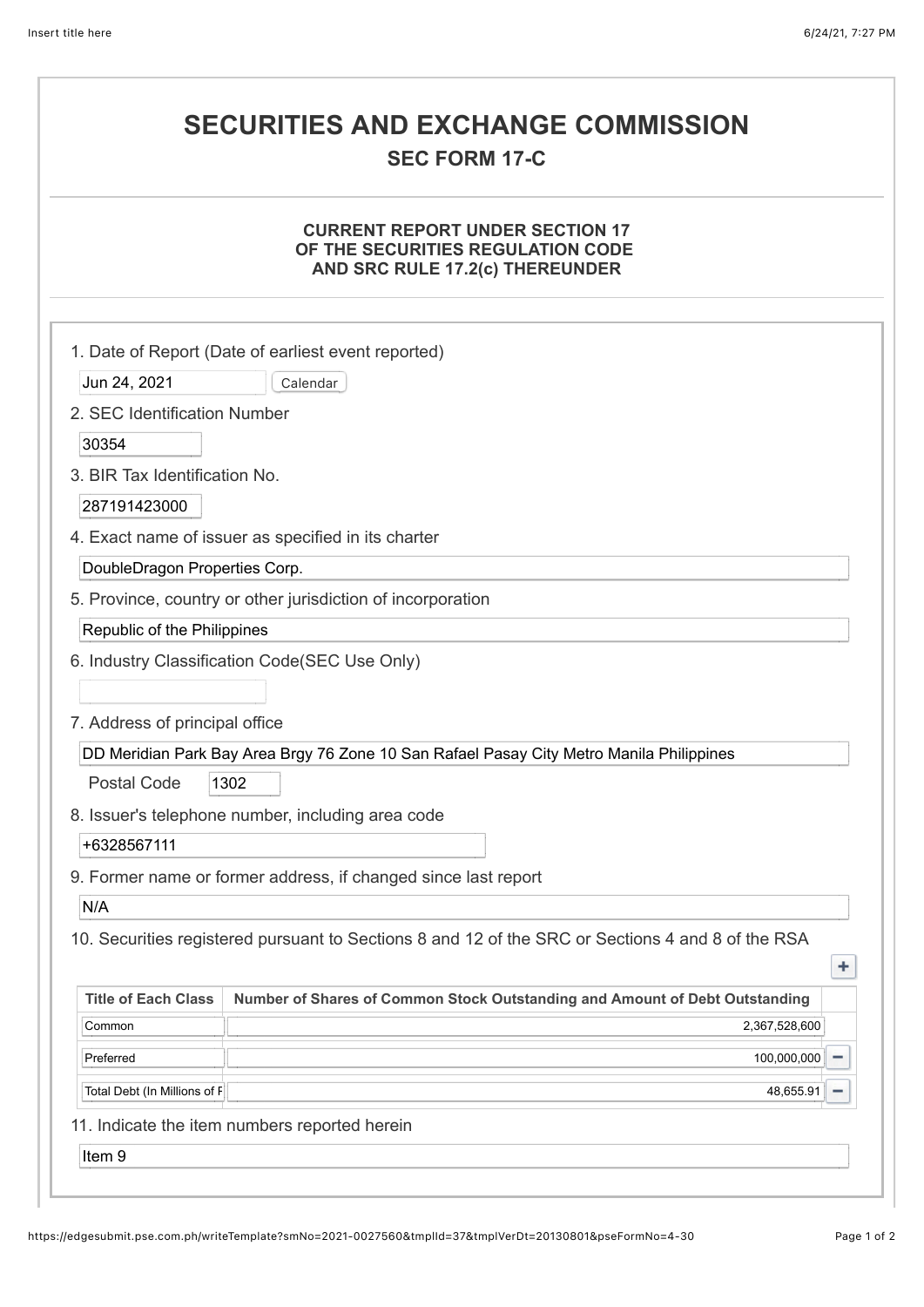## **SECURITIES AND EXCHANGE COMMISSION**

### **SEC FORM 17-C**

#### **CURRENT REPORT UNDER SECTION 17 OF THE SECURITIES REGULATION CODE AND SRC RULE 17.2(c) THEREUNDER**

|                                | 1. Date of Report (Date of earliest event reported)                                               |
|--------------------------------|---------------------------------------------------------------------------------------------------|
| Jun 24, 2021                   | Calendar                                                                                          |
| 2. SEC Identification Number   |                                                                                                   |
| 30354                          |                                                                                                   |
| 3. BIR Tax Identification No.  |                                                                                                   |
| 287191423000                   |                                                                                                   |
|                                | 4. Exact name of issuer as specified in its charter                                               |
| DoubleDragon Properties Corp.  |                                                                                                   |
|                                | 5. Province, country or other jurisdiction of incorporation                                       |
| Republic of the Philippines    |                                                                                                   |
|                                | 6. Industry Classification Code(SEC Use Only)                                                     |
|                                |                                                                                                   |
| 7. Address of principal office |                                                                                                   |
|                                | DD Meridian Park Bay Area Brgy 76 Zone 10 San Rafael Pasay City Metro Manila Philippines          |
| <b>Postal Code</b>             | 1302                                                                                              |
|                                | 8. Issuer's telephone number, including area code                                                 |
| +6328567111                    |                                                                                                   |
|                                | 9. Former name or former address, if changed since last report                                    |
| N/A                            |                                                                                                   |
|                                | 10. Securities registered pursuant to Sections 8 and 12 of the SRC or Sections 4 and 8 of the RSA |
|                                | ٠                                                                                                 |
| <b>Title of Each Class</b>     | Number of Shares of Common Stock Outstanding and Amount of Debt Outstanding                       |
| Common                         | 2,367,528,600                                                                                     |
| Preferred                      | 100,000,000<br>-                                                                                  |
| Total Debt (In Millions of F   | 48,655.91<br>-                                                                                    |
|                                | 11. Indicate the item numbers reported herein                                                     |
| Item 9                         |                                                                                                   |